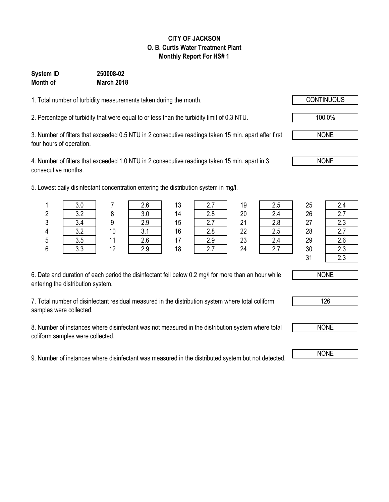### **CITY OF JACKSON O. B. Curtis Water Treatment Plant Monthly Report For HS# 1**

### **System ID 250008-02 Month of March 2018**

1. Total number of turbidity measurements taken during the month.

2. Percentage of turbidity that were equal to or less than the turbidity limit of 0.3 NTU.

3. Number of filters that exceeded 0.5 NTU in 2 consecutive readings taken 15 min. apart after first four hours of operation.

4. Number of filters that exceeded 1.0 NTU in 2 consecutive readings taken 15 min. apart in 3 consecutive months.

5. Lowest daily disinfectant concentration entering the distribution system in mg/l.

|   | v.v    |    |            | 12<br>ں ا |     | 10<br>ت ا | 2.5 | 25 | 2.4 |
|---|--------|----|------------|-----------|-----|-----------|-----|----|-----|
|   | ົາ     |    | ח כ<br>v.v | 14        | ን Ջ | 20        | 2.4 | 26 | 2.7 |
| ົ | $\sim$ |    | っぃ         | 15        |     | 21        | 2.8 | 27 | 2.3 |
|   | ົດ ຄ   | 10 |            | 16        | ን Ջ | 22        |     | 28 | 2.7 |
| ა | ა.ხ    |    | 2.6        | 17        |     | 23        | 2.4 | 29 | 2.6 |
|   | $\sim$ | 12 |            | 18        |     | 24        |     | 30 | 2.3 |
|   |        |    |            |           |     |           |     |    |     |

| 2.5 |
|-----|
| 2.4 |
| 2.8 |
| 2.5 |
| 2.4 |
| 27  |
|     |

31 2.3

6. Date and duration of each period the disinfectant fell below 0.2 mg/l for more than an hour while entering the distribution system.

7. Total number of disinfectant residual measured in the distribution system where total coliform samples were collected.

8. Number of instances where disinfectant was not measured in the distribution system where total coliform samples were collected.

9. Number of instances where disinfectant was measured in the distributed system but not detected. NONE



NONE

126

100.0%

NONE

NONE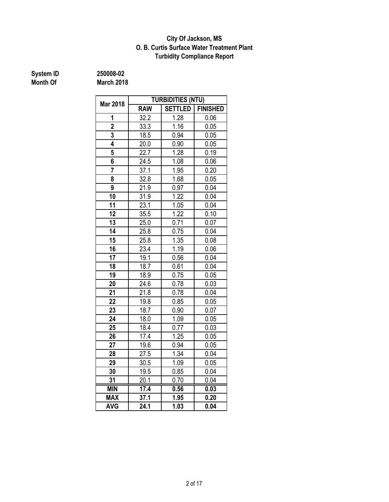### **O. B. Curtis Surface Water Treatment Plant City Of Jackson, MS Turbidity Compliance Report**

# **System ID** 250008-02<br> **Month Of** March 2018

|                 | <b>TURBIDITIES (NTU)</b> |                |                 |  |  |  |
|-----------------|--------------------------|----------------|-----------------|--|--|--|
| <b>Mar 2018</b> | <b>RAW</b>               | <b>SETTLED</b> | <b>FINISHED</b> |  |  |  |
| 1               | $\frac{32.2}{ }$         | 1.28           | 0.06            |  |  |  |
| $\overline{2}$  | 33.3                     | 1.16           | 0.05            |  |  |  |
| 3               | 18.5                     | 0.94           | 0.05            |  |  |  |
| 4               | 20.0                     | 0.90           | 0.05            |  |  |  |
| 5               | 22.7                     | 1.28           | 0.19            |  |  |  |
| 6               | 24.5                     | 1.08           | 0.06            |  |  |  |
| 7               | 37.1                     | 1.95           | 0.20            |  |  |  |
| 8               | 32.8                     | 1.68           | 0.05            |  |  |  |
| 9               | 21.9                     | 0.97           | 0.04            |  |  |  |
| 10              | 31.9                     | 1.22           | 0.04            |  |  |  |
| 11              | 23.1                     | 1.05           | 0.04            |  |  |  |
| 12              | 35.5                     | 1.22           | 0.10            |  |  |  |
| 13              | 25.0                     | 0.71           | 0.07            |  |  |  |
| $\overline{14}$ | 25.8                     | 0.75           | 0.04            |  |  |  |
| 15              | 25.8                     | 1.35           | 0.08            |  |  |  |
| 16              | 23.4                     | 1.19           | 0.06            |  |  |  |
| 17              | 19.1                     | 0.56           | 0.04            |  |  |  |
| $\overline{18}$ | 18.7                     | 0.61           | 0.04            |  |  |  |
| 19              | 18.9                     | 0.75           | 0.05            |  |  |  |
| 20              | 24.6                     | 0.78           | 0.03            |  |  |  |
| 21              | 21.8                     | 0.78           | 0.04            |  |  |  |
| 22              | 19.8                     | 0.85           | 0.05            |  |  |  |
| 23              | 18.7                     | 0.90           | 0.07            |  |  |  |
| 24              | 18.0                     | 1.09           | 0.05            |  |  |  |
| 25              | 18.4                     | 0.77           | 0.03            |  |  |  |
| 26              | 17.4                     | 1.25           | 0.05            |  |  |  |
| 27              | 19.6                     | 0.94           | 0.05            |  |  |  |
| 28              | 27.5                     | 1.34           | 0.04            |  |  |  |
| 29              | 30.5                     | 1.09           | 0.05            |  |  |  |
| 30              | 19.5                     | 0.85           | 0.04            |  |  |  |
| 31              | 20.1                     | 0.70           | 0.04            |  |  |  |
| <b>MIN</b>      | 17.4                     | 0.56           | 0.03            |  |  |  |
| <b>MAX</b>      | 37.1                     | 1.95           | 0.20            |  |  |  |
| <b>AVG</b>      | 24.1                     | 1.03           | 0.04            |  |  |  |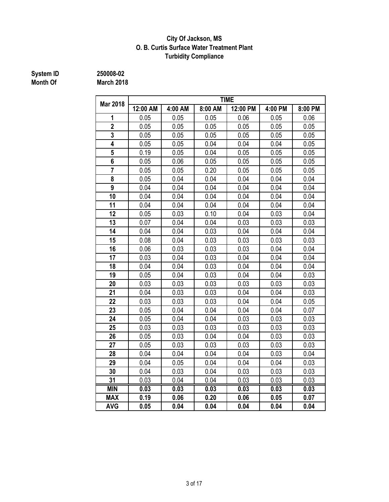### **City Of Jackson, MS O. B. Curtis Surface Water Treatment Plant Turbidity Compliance**

# **System ID** 250008-02<br> **Month Of** March 2018

| <b>Mar 2018</b> | <b>TIME</b> |         |         |          |         |         |  |  |  |
|-----------------|-------------|---------|---------|----------|---------|---------|--|--|--|
|                 | 12:00 AM    | 4:00 AM | 8:00 AM | 12:00 PM | 4:00 PM | 8:00 PM |  |  |  |
| 1               | 0.05        | 0.05    | 0.05    | 0.06     | 0.05    | 0.06    |  |  |  |
| $\overline{2}$  | 0.05        | 0.05    | 0.05    | 0.05     | 0.05    | 0.05    |  |  |  |
| 3               | 0.05        | 0.05    | 0.05    | 0.05     | 0.05    | 0.05    |  |  |  |
| 4               | 0.05        | 0.05    | 0.04    | 0.04     | 0.04    | 0.05    |  |  |  |
| $\overline{5}$  | 0.19        | 0.05    | 0.04    | 0.05     | 0.05    | 0.05    |  |  |  |
| 6               | 0.05        | 0.06    | 0.05    | 0.05     | 0.05    | 0.05    |  |  |  |
| $\overline{7}$  | 0.05        | 0.05    | 0.20    | 0.05     | 0.05    | 0.05    |  |  |  |
| 8               | 0.05        | 0.04    | 0.04    | 0.04     | 0.04    | 0.04    |  |  |  |
| $\overline{9}$  | 0.04        | 0.04    | 0.04    | 0.04     | 0.04    | 0.04    |  |  |  |
| 10              | 0.04        | 0.04    | 0.04    | 0.04     | 0.04    | 0.04    |  |  |  |
| 11              | 0.04        | 0.04    | 0.04    | 0.04     | 0.04    | 0.04    |  |  |  |
| 12              | 0.05        | 0.03    | 0.10    | 0.04     | 0.03    | 0.04    |  |  |  |
| 13              | 0.07        | 0.04    | 0.04    | 0.03     | 0.03    | 0.03    |  |  |  |
| 14              | 0.04        | 0.04    | 0.03    | 0.04     | 0.04    | 0.04    |  |  |  |
| 15              | 0.08        | 0.04    | 0.03    | 0.03     | 0.03    | 0.03    |  |  |  |
| 16              | 0.06        | 0.03    | 0.03    | 0.03     | 0.04    | 0.04    |  |  |  |
| 17              | 0.03        | 0.04    | 0.03    | 0.04     | 0.04    | 0.04    |  |  |  |
| 18              | 0.04        | 0.04    | 0.03    | 0.04     | 0.04    | 0.04    |  |  |  |
| 19              | 0.05        | 0.04    | 0.03    | 0.04     | 0.04    | 0.03    |  |  |  |
| 20              | 0.03        | 0.03    | 0.03    | 0.03     | 0.03    | 0.03    |  |  |  |
| 21              | 0.04        | 0.03    | 0.03    | 0.04     | 0.04    | 0.03    |  |  |  |
| 22              | 0.03        | 0.03    | 0.03    | 0.04     | 0.04    | 0.05    |  |  |  |
| 23              | 0.05        | 0.04    | 0.04    | 0.04     | 0.04    | 0.07    |  |  |  |
| 24              | 0.05        | 0.04    | 0.04    | 0.03     | 0.03    | 0.03    |  |  |  |
| 25              | 0.03        | 0.03    | 0.03    | 0.03     | 0.03    | 0.03    |  |  |  |
| 26              | 0.05        | 0.03    | 0.04    | 0.04     | 0.03    | 0.03    |  |  |  |
| 27              | 0.05        | 0.03    | 0.03    | 0.03     | 0.03    | 0.03    |  |  |  |
| 28              | 0.04        | 0.04    | 0.04    | 0.04     | 0.03    | 0.04    |  |  |  |
| 29              | 0.04        | 0.05    | 0.04    | 0.04     | 0.04    | 0.03    |  |  |  |
| 30              | 0.04        | 0.03    | 0.04    | 0.03     | 0.03    | 0.03    |  |  |  |
| 31              | 0.03        | 0.04    | 0.04    | 0.03     | 0.03    | 0.03    |  |  |  |
| <b>MIN</b>      | 0.03        | 0.03    | 0.03    | 0.03     | 0.03    | 0.03    |  |  |  |
| <b>MAX</b>      | 0.19        | 0.06    | 0.20    | 0.06     | 0.05    | 0.07    |  |  |  |
| <b>AVG</b>      | 0.05        | 0.04    | 0.04    | 0.04     | 0.04    | 0.04    |  |  |  |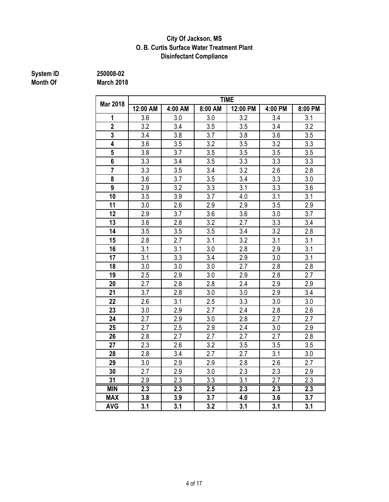### **Disinfectant Compliance City Of Jackson, MS O. B. Curtis Surface Water Treatment Plant**

**System ID 250008-02**

| <b>Month Of</b> | <b>March 2018</b> |
|-----------------|-------------------|

| <b>Mar 2018</b>  | <b>TIME</b>      |         |         |                  |         |                  |  |  |  |
|------------------|------------------|---------|---------|------------------|---------|------------------|--|--|--|
|                  | 12:00 AM         | 4:00 AM | 8:00 AM | 12:00 PM         | 4:00 PM | 8:00 PM          |  |  |  |
| 1                | 3.6              | 3.0     | 3.0     | 3.2              | 3.4     | 3.1              |  |  |  |
| $\overline{2}$   | 3.2              | 3.4     | 3.5     | 3.5              | 3.4     | 3.2              |  |  |  |
| 3                | 3.4              | 3.8     | 3.7     | 3.8              | 3.6     | 3.5              |  |  |  |
| 4                | 3.6              | 3.5     | 3.2     | 3.5              | 3.2     | 3.3              |  |  |  |
| 5                | 3.8              | 3.7     | 3.5     | 3.5              | 3.5     | 3.5              |  |  |  |
| 6                | 3.3              | 3.4     | 3.5     | 3.3              | 3.3     | 3.3              |  |  |  |
| $\overline{7}$   | 3.3              | 3.5     | 3.4     | 3.2              | 2.6     | 2.8              |  |  |  |
| 8                | 3.6              | 3.7     | 3.5     | 3.4              | 3.3     | 3.0              |  |  |  |
| $\boldsymbol{9}$ | 2.9              | 3.2     | 3.3     | 3.1              | 3.3     | 3.6              |  |  |  |
| 10               | 3.5              | 3.9     | 3.7     | 4.0              | 3.1     | 3.1              |  |  |  |
| 11               | 3.0              | 2.6     | 2.9     | 2.9              | 3.5     | 2.9              |  |  |  |
| 12               | 2.9              | 3.7     | 3.6     | 3.6              | 3.0     | 3.7              |  |  |  |
| 13               | 3.6              | 2.8     | 3.2     | 2.7              | 3.3     | 3.4              |  |  |  |
| 14               | 3.5              | 3.5     | 3.5     | 3.4              | 3.2     | 2.8              |  |  |  |
| 15               | 2.8              | 2.7     | 3.1     | 3.2              | 3.1     | 3.1              |  |  |  |
| 16               | 3.1              | 3.1     | 3.0     | 2.8              | 2.9     | 3.1              |  |  |  |
| 17               | 3.1              | 3.3     | 3.4     | 2.9              | 3.0     | 3.1              |  |  |  |
| 18               | 3.0              | 3.0     | 3.0     | 2.7              | 2.8     | 2.8              |  |  |  |
| 19               | 2.5              | 2.9     | 3.0     | 2.9              | 2.8     | 2.7              |  |  |  |
| 20               | 2.7              | 2.8     | 2.8     | 2.4              | 2.9     | 2.9              |  |  |  |
| 21               | 3.7              | 2.8     | 3.0     | 3.0              | 2.9     | 3.4              |  |  |  |
| 22               | 2.6              | 3.1     | 2.5     | 3.3              | 3.0     | 3.0              |  |  |  |
| 23               | 3.0              | 2.9     | 2.7     | 2.4              | 2.8     | 2.6              |  |  |  |
| 24               | 2.7              | 2.9     | 3.0     | 2.8              | 2.7     | 2.7              |  |  |  |
| 25               | 2.7              | 2.5     | 2.9     | 2.4              | 3.0     | 2.9              |  |  |  |
| 26               | 2.8              | 2.7     | 2.7     | 2.7              | 2.7     | 2.8              |  |  |  |
| 27               | 2.3              | 2.6     | 3.2     | 3.5              | 3.5     | 3.5              |  |  |  |
| 28               | 2.8              | 3.4     | 2.7     | 2.7              | 3.1     | 3.0              |  |  |  |
| 29               | 3.0              | 2.9     | 2.9     | 2.8              | 2.6     | 2.7              |  |  |  |
| 30               | 2.7              | 2.9     | 3.0     | 2.3              | 2.3     | 2.9              |  |  |  |
| 31               | 2.9              | 2.3     | 3.3     | 3.1              | 2.7     | 2.3              |  |  |  |
| <b>MIN</b>       | $\overline{2.3}$ | 2.3     | 2.5     | $\overline{2.3}$ | 2.3     | $\overline{2.3}$ |  |  |  |
| <b>MAX</b>       | 3.8              | 3.9     | 3.7     | 4.0              | 3.6     | 3.7              |  |  |  |
| <b>AVG</b>       | 3.1              | 3.1     | 3.2     | 3.1              | 3.1     | 3.1              |  |  |  |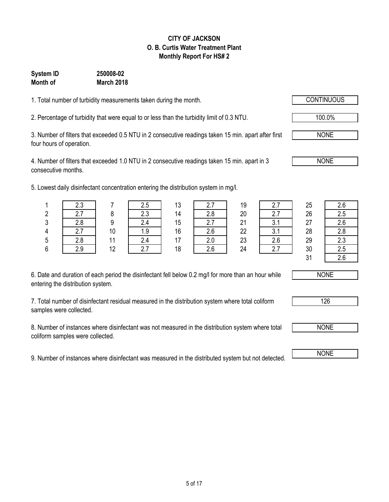### 5 of 17

### **CITY OF JACKSON O. B. Curtis Water Treatment Plant Monthly Report For HS# 2**

### **Month of March 2018 System ID 250008-02**

1. Total number of turbidity measurements taken during the month. CONTINUOUS

2. Percentage of turbidity that were equal to or less than the turbidity limit of 0.3 NTU. 100.0%

3. Number of filters that exceeded 0.5 NTU in 2 consecutive readings taken 15 min. apart after first four hours of operation.

4. Number of filters that exceeded 1.0 NTU in 2 consecutive readings taken 15 min. apart in 3 consecutive months.

5. Lowest daily disinfectant concentration entering the distribution system in mg/l.

| 6. Date and duration of each period the disinfectant fell below 0.2 mg/l for more than an hour while |  |
|------------------------------------------------------------------------------------------------------|--|
| entering the distribution system.                                                                    |  |

7. Total number of disinfectant residual measured in the distribution system where total coliform samples were collected.

8. Number of instances where disinfectant was not measured in the distribution system where total coliform samples were collected.

9. Number of instances where disinfectant was measured in the distributed system but not detected.

|   | west daily disinfectant concentration entering the distribution system in mg/l. |    |     |    |     |    |     |    |     |
|---|---------------------------------------------------------------------------------|----|-----|----|-----|----|-----|----|-----|
|   | 2.3                                                                             |    | 2.5 | 13 |     | 19 |     | 25 | 2.6 |
|   | 2.7                                                                             |    | 2.3 | 14 | 2.8 | 20 |     | 26 | 2.5 |
|   | 2.8                                                                             |    | 2.4 | 15 | 27  | 21 | 3.1 | 27 | 2.6 |
| 4 | 2.7                                                                             | 10 | 1.9 | 16 | 2.6 | 22 |     | 28 | 2.8 |
|   | 2 R                                                                             |    | 24  | 47 |     | 23 | ን 6 | 29 | 2.3 |

|         | د.ء    |                | ں.ے       | 12<br>ں ا |                      | 19 |      | 25            | 2.6           |
|---------|--------|----------------|-----------|-----------|----------------------|----|------|---------------|---------------|
|         |        |                | າາ        | 14        | 2.8                  | 20 |      | 26            | 2.5           |
| 3       | റ റ    |                |           | 15        | <u>.</u>             | 21 |      | 27            | 2.6           |
|         | ، ،    | 1 <sub>0</sub> | ن. ا      | 16        | $\sim$ $\sim$<br>Z.O | 22 | v. I | 28            | 2.8           |
| 5       | 2.8    |                | 24<br>4.4 |           | Z.U                  | 23 | 2.6  | 29            | 2.3           |
| ς.<br>υ | $\sim$ | 12             | ົ         | 18        | 2.6                  | 24 |      | 30            | 2.5           |
|         |        |                |           |           |                      |    |      | $\sim$ $\sim$ | $\sim$ $\sim$ |

| ΣJ | z.u |
|----|-----|
| 26 | 2.5 |
| 27 | 2.6 |
| 28 | 2.8 |
| 29 | 2.3 |
| 30 | 2.5 |
| 31 | 2.6 |



NONE

126



NONE

NONE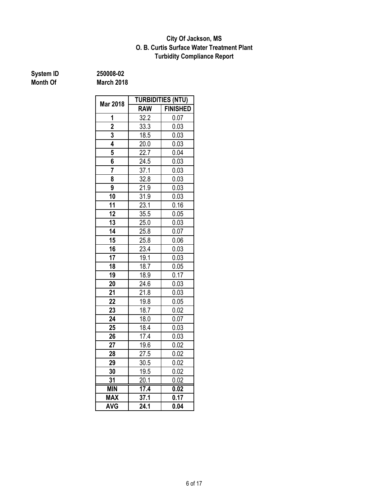### **Turbidity Compliance Report O. B. Curtis Surface Water Treatment Plant City Of Jackson, MS**

# **System ID** 250008-02<br> **Month Of** March 2018

|                 | <b>TURBIDITIES (NTU)</b> |                 |  |  |  |
|-----------------|--------------------------|-----------------|--|--|--|
| <b>Mar 2018</b> | <b>RAW</b>               | <b>FINISHED</b> |  |  |  |
| 1               | 32.2                     | 0.07            |  |  |  |
| $\overline{2}$  | 33.3                     | 0.03            |  |  |  |
| 3               | 18.5                     | 0.03            |  |  |  |
| 4               | 20.0                     | 0.03            |  |  |  |
| 5               | 22.7                     | 0.04            |  |  |  |
| 6               | 24.5                     | 0.03            |  |  |  |
| 7               | 37.1                     | 0.03            |  |  |  |
| 8               | 32.8                     | 0.03            |  |  |  |
| 9               | 21.9                     | 0.03            |  |  |  |
| 10              | 31.9                     | 0.03            |  |  |  |
| 11              | 23.1                     | 0.16            |  |  |  |
| 12              | 35.5                     | 0.05            |  |  |  |
| 13              | $\overline{2}5.0$        | 0.03            |  |  |  |
| $\overline{14}$ | 25.8                     | 0.07            |  |  |  |
| 15              | 25.8                     | 0.06            |  |  |  |
| 16              | 23.4                     | 0.03            |  |  |  |
| 17              | 19.1                     | 0.03            |  |  |  |
| 18              | 18.7                     | 0.05            |  |  |  |
| 19              | 18.9                     | 0.17            |  |  |  |
| 20              | 24.6                     | 0.03            |  |  |  |
| 21              | 21.8                     | 0.03            |  |  |  |
| 22              | 19.8                     | 0.05            |  |  |  |
| 23              | 18.7                     | 0.02            |  |  |  |
| 24              | 18.0                     | 0.07            |  |  |  |
| 25              | 18.4                     | 0.03            |  |  |  |
| 26              | 17.4                     | 0.03            |  |  |  |
| 27              | 19.6                     | 0.02            |  |  |  |
| 28              | 27.5                     | 0.02            |  |  |  |
| 29              | 30.5                     | 0.02            |  |  |  |
| 30              | 19.5                     | 0.02            |  |  |  |
| 31              | 20.1                     | 0.02            |  |  |  |
| <b>MIN</b>      | 17.4                     | 0.02            |  |  |  |
| <b>MAX</b>      | 37.1                     | 0.17            |  |  |  |
| <b>AVG</b>      | 24.1                     | 0.04            |  |  |  |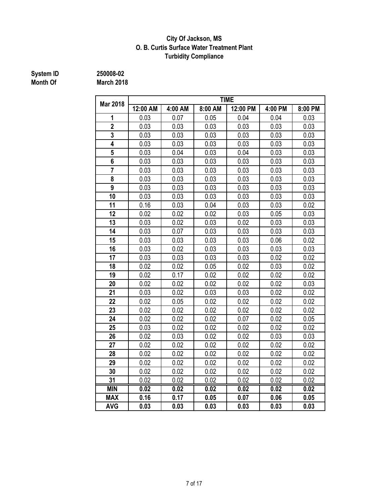### **City Of Jackson, MS O. B. Curtis Surface Water Treatment Plant Turbidity Compliance**

# **System ID** 250008-02<br> **Month Of** March 2018

|                         | <b>TIME</b>       |         |                   |                   |                   |         |  |  |  |
|-------------------------|-------------------|---------|-------------------|-------------------|-------------------|---------|--|--|--|
| <b>Mar 2018</b>         | 12:00 AM          | 4:00 AM | 8:00 AM           | 12:00 PM          | 4:00 PM           | 8:00 PM |  |  |  |
| 1                       | 0.03              | 0.07    | 0.05              | 0.04              | 0.04              | 0.03    |  |  |  |
| $\overline{2}$          | 0.03              | 0.03    | 0.03              | 0.03              | 0.03              | 0.03    |  |  |  |
| $\overline{\mathbf{3}}$ | 0.03              | 0.03    | 0.03              | 0.03              | 0.03              | 0.03    |  |  |  |
| $\overline{4}$          | 0.03              | 0.03    | 0.03              | 0.03              | 0.03              | 0.03    |  |  |  |
| 5                       | 0.03              | 0.04    | 0.03              | 0.04              | 0.03              | 0.03    |  |  |  |
| 6                       | 0.03              | 0.03    | 0.03              | 0.03              | 0.03              | 0.03    |  |  |  |
| $\overline{7}$          | 0.03              | 0.03    | 0.03              | 0.03              | 0.03              | 0.03    |  |  |  |
| 8                       | 0.03              | 0.03    | 0.03              | 0.03              | 0.03              | 0.03    |  |  |  |
| $\overline{9}$          | 0.03              | 0.03    | 0.03              | 0.03              | 0.03              | 0.03    |  |  |  |
| 10                      | 0.03              | 0.03    | 0.03              | 0.03              | 0.03              | 0.03    |  |  |  |
| 11                      | 0.16              | 0.03    | 0.04              | 0.03              | 0.03              | 0.02    |  |  |  |
| 12                      | 0.02              | 0.02    | 0.02              | 0.03              | 0.05              | 0.03    |  |  |  |
| 13                      | 0.03              | 0.02    | 0.03              | 0.02              | 0.03              | 0.03    |  |  |  |
| 14                      | 0.03              | 0.07    | 0.03              | 0.03              | 0.03              | 0.03    |  |  |  |
| 15                      | 0.03              | 0.03    | 0.03              | 0.03              | 0.06              | 0.02    |  |  |  |
| 16                      | 0.03              | 0.02    | 0.03              | 0.03              | 0.03              | 0.03    |  |  |  |
| 17                      | 0.03              | 0.03    | 0.03              | 0.03              | 0.02              | 0.02    |  |  |  |
| 18                      | 0.02              | 0.02    | 0.05              | 0.02              | 0.03              | 0.02    |  |  |  |
| 19                      | 0.02              | 0.17    | 0.02              | 0.02              | 0.02              | 0.02    |  |  |  |
| 20                      | 0.02              | 0.02    | 0.02              | 0.02              | 0.02              | 0.03    |  |  |  |
| 21                      | 0.03              | 0.02    | 0.03              | 0.03              | 0.02              | 0.02    |  |  |  |
| 22                      | 0.02              | 0.05    | 0.02              | 0.02              | 0.02              | 0.02    |  |  |  |
| 23                      | 0.02              | 0.02    | 0.02              | 0.02              | 0.02              | 0.02    |  |  |  |
| 24                      | 0.02              | 0.02    | 0.02              | 0.07              | 0.02              | 0.05    |  |  |  |
| 25                      | 0.03              | 0.02    | 0.02              | 0.02              | 0.02              | 0.02    |  |  |  |
| 26                      | 0.02              | 0.03    | 0.02              | 0.02              | 0.03              | 0.03    |  |  |  |
| 27                      | 0.02              | 0.02    | 0.02              | 0.02              | 0.02              | 0.02    |  |  |  |
| 28                      | 0.02              | 0.02    | 0.02              | 0.02              | 0.02              | 0.02    |  |  |  |
| 29                      | 0.02              | 0.02    | 0.02              | 0.02              | 0.02              | 0.02    |  |  |  |
| 30                      | 0.02              | 0.02    | 0.02              | 0.02              | 0.02              | 0.02    |  |  |  |
| 31                      | 0.02              | 0.02    | 0.02              | 0.02              | 0.02              | 0.02    |  |  |  |
| <b>MIN</b>              | $\overline{0.02}$ | 0.02    | $\overline{0.02}$ | $\overline{0.02}$ | $\overline{0.02}$ | 0.02    |  |  |  |
| <b>MAX</b>              | 0.16              | 0.17    | 0.05              | 0.07              | 0.06              | 0.05    |  |  |  |
| <b>AVG</b>              | 0.03              | 0.03    | 0.03              | 0.03              | 0.03              | 0.03    |  |  |  |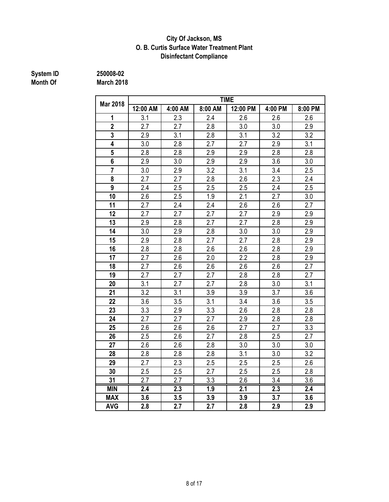### **City Of Jackson, MS O. B. Curtis Surface Water Treatment Plant Disinfectant Compliance**

**System ID 250008-02**

|          | -------           |
|----------|-------------------|
| Month Of | <b>March 2018</b> |

|                 | <b>TIME</b> |                  |                  |                  |                  |                  |  |  |
|-----------------|-------------|------------------|------------------|------------------|------------------|------------------|--|--|
| <b>Mar 2018</b> | 12:00 AM    | 4:00 AM          | 8:00 AM          | 12:00 PM         | 4:00 PM          | 8:00 PM          |  |  |
| 1               | 3.1         | 2.3              | 2.4              | 2.6              | 2.6              | 2.6              |  |  |
| $\overline{2}$  | 2.7         | 2.7              | 2.8              | 3.0              | 3.0              | 2.9              |  |  |
| 3               | 2.9         | 3.1              | 2.8              | $\overline{3.1}$ | 3.2              | 3.2              |  |  |
| 4               | 3.0         | 2.8              | 2.7              | 2.7              | 2.9              | 3.1              |  |  |
| 5               | 2.8         | 2.8              | 2.9              | 2.9              | 2.8              | 2.8              |  |  |
| 6               | 2.9         | 3.0              | 2.9              | 2.9              | 3.6              | 3.0              |  |  |
| $\overline{7}$  | 3.0         | 2.9              | 3.2              | 3.1              | 3.4              | 2.5              |  |  |
| 8               | 2.7         | 2.7              | 2.8              | $\overline{2.6}$ | 2.3              | 2.4              |  |  |
| $\overline{9}$  | 2.4         | 2.5              | 2.5              | 2.5              | 2.4              | 2.5              |  |  |
| 10              | 2.6         | 2.5              | 1.9              | 2.1              | 2.7              | 3.0              |  |  |
| 11              | 2.7         | 2.4              | 2.4              | 2.6              | 2.6              | 2.7              |  |  |
| 12              | 2.7         | 2.7              | 2.7              | 2.7              | 2.9              | 2.9              |  |  |
| 13              | 2.9         | 2.8              | 2.7              | 2.7              | 2.8              | 2.9              |  |  |
| 14              | 3.0         | 2.9              | 2.8              | 3.0              | 3.0              | 2.9              |  |  |
| 15              | 2.9         | 2.8              | 2.7              | 2.7              | 2.8              | 2.9              |  |  |
| 16              | 2.8         | 2.8              | 2.6              | 2.6              | 2.8              | 2.9              |  |  |
| 17              | 2.7         | 2.6              | 2.0              | 2.2              | 2.8              | 2.9              |  |  |
| 18              | 2.7         | 2.6              | 2.6              | 2.6              | 2.6              | 2.7              |  |  |
| 19              | 2.7         | 2.7              | 2.7              | 2.8              | 2.8              | 2.7              |  |  |
| 20              | 3.1         | 2.7              | 2.7              | 2.8              | 3.0              | 3.1              |  |  |
| 21              | 3.2         | 3.1              | 3.9              | 3.9              | 3.7              | 3.6              |  |  |
| 22              | 3.6         | 3.5              | 3.1              | 3.4              | 3.6              | 3.5              |  |  |
| 23              | 3.3         | 2.9              | 3.3              | 2.6              | 2.8              | 2.8              |  |  |
| 24              | 2.7         | 2.7              | 2.7              | 2.9              | 2.8              | 2.8              |  |  |
| 25              | 2.6         | 2.6              | 2.6              | 2.7              | 2.7              | 3.3              |  |  |
| 26              | 2.5         | 2.6              | 2.7              | 2.8              | 2.5              | 2.7              |  |  |
| 27              | 2.6         | 2.6              | 2.8              | 3.0              | 3.0              | 3.0              |  |  |
| 28              | 2.8         | 2.8              | 2.8              | 3.1              | 3.0              | 3.2              |  |  |
| 29              | 2.7         | 2.3              | 2.5              | 2.5              | 2.5              | 2.6              |  |  |
| 30              | 2.5         | 2.5              | 2.7              | 2.5              | 2.5              | 2.8              |  |  |
| 31              | 2.7         | 2.7              | 3.3              | 2.6              | 3.4              | 3.6              |  |  |
| <b>MIN</b>      | 2.4         | $\overline{2.3}$ | $\overline{1.9}$ | 2.1              | $\overline{2.3}$ | $\overline{2.4}$ |  |  |
| <b>MAX</b>      | 3.6         | 3.5              | 3.9              | 3.9              | 3.7              | 3.6              |  |  |
| <b>AVG</b>      | 2.8         | 2.7              | 2.7              | 2.8              | 2.9              | 2.9              |  |  |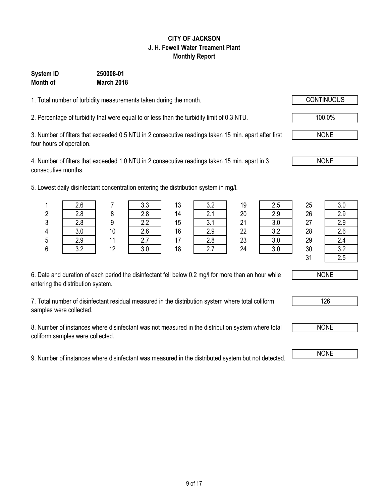## 9 of 17

### **CITY OF JACKSON J. H. Fewell Water Treament Plant Monthly Report**

### **System ID 250008-01 Month of March 2018**

1. Total number of turbidity measurements taken during the month.

2. Percentage of turbidity that were equal to or less than the turbidity limit of 0.3 NTU. 100.0%

3. Number of filters that exceeded 0.5 NTU in 2 consecutive readings taken 15 min. apart after first four hours of operation.

4. Number of filters that exceeded 1.0 NTU in 2 consecutive readings taken 15 min. apart in 3 consecutive months.

5. Lowest daily disinfectant concentration entering the distribution system in mg/l.

| 6. Date and duration of each period the disinfectant fell below 0.2 mg/l for more than an hour while |  |
|------------------------------------------------------------------------------------------------------|--|
| entering the distribution system.                                                                    |  |

7. Total number of disinfectant residual measured in the distribution system where total coliform samples were collected.

8. Number of instances where disinfectant was not measured in the distribution system where total coliform samples were collected.

9. Number of instances where disinfectant was measured in the distributed system but not detected. NONE

|   |     |    |     |    | west daily disinfectant concentration entering the distribution system in mg/l. |    |     |    |     |
|---|-----|----|-----|----|---------------------------------------------------------------------------------|----|-----|----|-----|
|   | 2.6 |    | 3.3 | 13 | 3.2                                                                             | 19 | 2.5 | 25 | 3.0 |
|   | 2.8 |    | 2.8 | 14 |                                                                                 | 20 | 2.9 | 26 | 2.9 |
|   | 2.8 |    | 2.2 | 15 | ົ                                                                               | 21 |     | 27 | 2.9 |
| 4 | 3.0 | 10 | 2.6 | 16 | 2.9                                                                             | 22 | っっ  | 28 | 2.6 |
|   | 29  |    |     |    | 2.8                                                                             | 23 |     | 29 | 2.4 |

|         | --- |    | - - - | . . | ---                        | . . | ---        | --       | - - -              |
|---------|-----|----|-------|-----|----------------------------|-----|------------|----------|--------------------|
|         | 2.8 |    | 2.8   | 14  | $\sim$ $\lambda$<br>$\sim$ | 20  | 2.9        | 26       | റ റ<br>ت. ے        |
| C.<br>J | 2.8 |    | 2.2   | 15  | $^{\circ}$ 1<br>v. I       | 21  | 20<br>v.v  | 27       | റ റ<br>ن.ء         |
|         | 3.0 | 10 | 2.6   | 16  | 2.9                        | 22  | າ າ<br>J.Z | 28       | <u> ລ ເ</u><br>z.u |
| 5       | 2.9 |    | 2.7   | 17  | 2.8                        | 23  | っぃ<br>v.v  | 29       | 24<br>∠.⊤          |
| e.<br>o | າ າ | 12 | 3.0   | 18  | 2.7                        | 24  | っぃ<br>v.v  | 30       | $\Omega$           |
|         |     |    |       |     |                            |     |            | 21<br>ັບ |                    |







NONE

NONE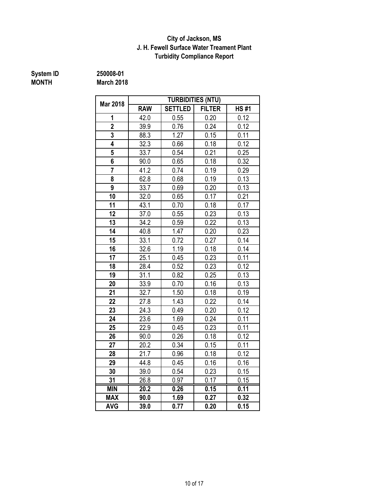### **J. H. Fewell Surface Water Treament Plant Turbidity Compliance Report City of Jackson, MS**

# **System ID** 250008-01<br> **MONTH** March 2018

**March 2018** 

|                 |            |                | <b>TURBIDITIES (NTU)</b> |             |
|-----------------|------------|----------------|--------------------------|-------------|
| <b>Mar 2018</b> | <b>RAW</b> | <b>SETTLED</b> | <b>FILTER</b>            | <b>HS#1</b> |
| 1               | 42.0       | 0.55           | 0.20                     | 0.12        |
| $\overline{2}$  | 39.9       | 0.76           | 0.24                     | 0.12        |
| 3               | 88.3       | 1.27           | 0.15                     | 0.11        |
| 4               | 32.3       | 0.66           | 0.18                     | 0.12        |
| 5               | 33.7       | 0.54           | 0.21                     | 0.25        |
| 6               | 90.0       | 0.65           | 0.18                     | 0.32        |
| $\overline{7}$  | 41.2       | 0.74           | 0.19                     | 0.29        |
| 8               | 62.8       | 0.68           | 0.19                     | 0.13        |
| 9               | 33.7       | 0.69           | 0.20                     | 0.13        |
| 10              | 32.0       | 0.65           | 0.17                     | 0.21        |
| 11              | 43.1       | 0.70           | 0.18                     | 0.17        |
| 12              | 37.0       | 0.55           | 0.23                     | 0.13        |
| 13              | 34.2       | 0.59           | 0.22                     | 0.13        |
| 14              | 40.8       | 1.47           | 0.20                     | 0.23        |
| 15              | 33.1       | 0.72           | 0.27                     | 0.14        |
| 16              | 32.6       | 1.19           | 0.18                     | 0.14        |
| 17              | 25.1       | 0.45           | 0.23                     | 0.11        |
| 18              | 28.4       | 0.52           | 0.23                     | 0.12        |
| 19              | 31.1       | 0.82           | 0.25                     | 0.13        |
| 20              | 33.9       | 0.70           | 0.16                     | 0.13        |
| 21              | 32.7       | 1.50           | 0.18                     | 0.19        |
| 22              | 27.8       | 1.43           | 0.22                     | 0.14        |
| 23              | 24.3       | 0.49           | 0.20                     | 0.12        |
| 24              | 23.6       | 1.69           | 0.24                     | 0.11        |
| 25              | 22.9       | 0.45           | 0.23                     | 0.11        |
| 26              | 90.0       | 0.26           | 0.18                     | 0.12        |
| 27              | 20.2       | 0.34           | 0.15                     | 0.11        |
| 28              | 21.7       | 0.96           | 0.18                     | 0.12        |
| 29              | 44.8       | 0.45           | 0.16                     | 0.16        |
| 30              | 39.0       | 0.54           | 0.23                     | 0.15        |
| 31              | 26.8       | 0.97           | 0.17                     | 0.15        |
| <b>MIN</b>      | 20.2       | 0.26           | 0.15                     | 0.11        |
| <b>MAX</b>      | 90.0       | 1.69           | 0.27                     | 0.32        |
| <b>AVG</b>      | 39.0       | 0.77           | 0.20                     | 0.15        |

10 of 17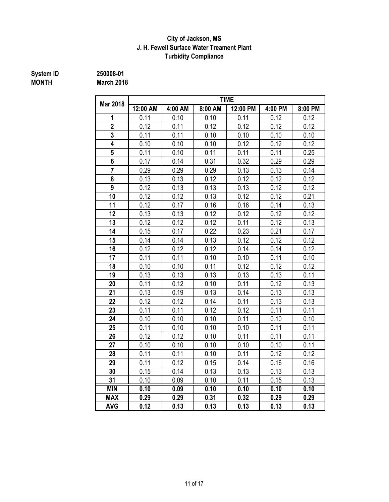### **J. H. Fewell Surface Water Treament Plant Turbidity Compliance City of Jackson, MS**

## **MONTH March 2018**

**System ID 250008-01**

|                         | <b>TIME</b> |         |         |          |         |         |  |  |  |
|-------------------------|-------------|---------|---------|----------|---------|---------|--|--|--|
| <b>Mar 2018</b>         | 12:00 AM    | 4:00 AM | 8:00 AM | 12:00 PM | 4:00 PM | 8:00 PM |  |  |  |
| 1                       | 0.11        | 0.10    | 0.10    | 0.11     | 0.12    | 0.12    |  |  |  |
| $\overline{2}$          | 0.12        | 0.11    | 0.12    | 0.12     | 0.12    | 0.12    |  |  |  |
| $\overline{\mathbf{3}}$ | 0.11        | 0.11    | 0.10    | 0.10     | 0.10    | 0.10    |  |  |  |
| 4                       | 0.10        | 0.10    | 0.10    | 0.12     | 0.12    | 0.12    |  |  |  |
| 5                       | 0.11        | 0.10    | 0.11    | 0.11     | 0.11    | 0.25    |  |  |  |
| 6                       | 0.17        | 0.14    | 0.31    | 0.32     | 0.29    | 0.29    |  |  |  |
|                         | 0.29        | 0.29    | 0.29    | 0.13     | 0.13    | 0.14    |  |  |  |
| 8                       | 0.13        | 0.13    | 0.12    | 0.12     | 0.12    | 0.12    |  |  |  |
| 9                       | 0.12        | 0.13    | 0.13    | 0.13     | 0.12    | 0.12    |  |  |  |
| 10                      | 0.12        | 0.12    | 0.13    | 0.12     | 0.12    | 0.21    |  |  |  |
| 11                      | 0.12        | 0.17    | 0.16    | 0.16     | 0.14    | 0.13    |  |  |  |
| 12                      | 0.13        | 0.13    | 0.12    | 0.12     | 0.12    | 0.12    |  |  |  |
| 13                      | 0.12        | 0.12    | 0.12    | 0.11     | 0.12    | 0.13    |  |  |  |
| 14                      | 0.15        | 0.17    | 0.22    | 0.23     | 0.21    | 0.17    |  |  |  |
| 15                      | 0.14        | 0.14    | 0.13    | 0.12     | 0.12    | 0.12    |  |  |  |
| 16                      | 0.12        | 0.12    | 0.12    | 0.14     | 0.14    | 0.12    |  |  |  |
| 17                      | 0.11        | 0.11    | 0.10    | 0.10     | 0.11    | 0.10    |  |  |  |
| 18                      | 0.10        | 0.10    | 0.11    | 0.12     | 0.12    | 0.12    |  |  |  |
| 19                      | 0.13        | 0.13    | 0.13    | 0.13     | 0.13    | 0.11    |  |  |  |
| 20                      | 0.11        | 0.12    | 0.10    | 0.11     | 0.12    | 0.13    |  |  |  |
| 21                      | 0.13        | 0.19    | 0.13    | 0.14     | 0.13    | 0.13    |  |  |  |
| 22                      | 0.12        | 0.12    | 0.14    | 0.11     | 0.13    | 0.13    |  |  |  |
| 23                      | 0.11        | 0.11    | 0.12    | 0.12     | 0.11    | 0.11    |  |  |  |
| 24                      | 0.10        | 0.10    | 0.10    | 0.11     | 0.10    | 0.10    |  |  |  |
| 25                      | 0.11        | 0.10    | 0.10    | 0.10     | 0.11    | 0.11    |  |  |  |
| 26                      | 0.12        | 0.12    | 0.10    | 0.11     | 0.11    | 0.11    |  |  |  |
| 27                      | 0.10        | 0.10    | 0.10    | 0.10     | 0.10    | 0.11    |  |  |  |
| 28                      | 0.11        | 0.11    | 0.10    | 0.11     | 0.12    | 0.12    |  |  |  |
| 29                      | 0.11        | 0.12    | 0.15    | 0.14     | 0.16    | 0.16    |  |  |  |
| 30                      | 0.15        | 0.14    | 0.13    | 0.13     | 0.13    | 0.13    |  |  |  |
| 31                      | 0.10        | 0.09    | 0.10    | 0.11     | 0.15    | 0.13    |  |  |  |
| <b>MIN</b>              | 0.10        | 0.09    | 0.10    | 0.10     | 0.10    | 0.10    |  |  |  |
| <b>MAX</b>              | 0.29        | 0.29    | 0.31    | 0.32     | 0.29    | 0.29    |  |  |  |
| <b>AVG</b>              | 0.12        | 0.13    | 0.13    | 0.13     | 0.13    | 0.13    |  |  |  |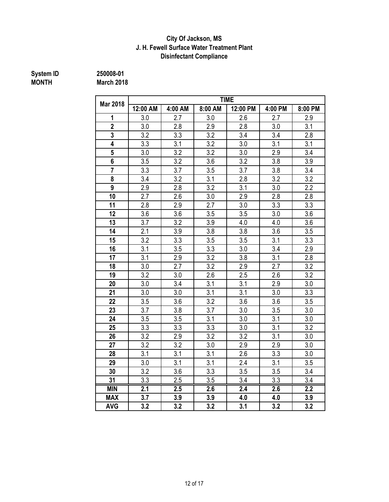### **Disinfectant Compliance City Of Jackson, MS J. H. Fewell Surface Water Treatment Plant**

### **System ID** 250008-01<br> **MONTH** March 2018 **MONTH March 2018**

| March 2018      |          |         |         |             |         |         |
|-----------------|----------|---------|---------|-------------|---------|---------|
| <b>Mar 2018</b> |          |         |         | <b>TIME</b> |         |         |
|                 | 12:00 AM | 4:00 AM | 8:00 AM | 12:00 PM    | 4:00 PM | 8:00 PM |
|                 | 3.0      | 2.7     | 3.0     | 2.6         | 2.7     | 2.9     |
|                 | 3.0      | 2.8     | 2.9     | 2.8         | 3.0     |         |
|                 | 3.2      | 3.3     | 3.2     | 3.4         | 3.4     |         |

|                         | 12:00 AM | 4:00 AM | 8:00 AM          | 12:00 PM         | 4:00 PM | 8:00 PM          |
|-------------------------|----------|---------|------------------|------------------|---------|------------------|
| 1                       | 3.0      | 2.7     | 3.0              | 2.6              | 2.7     | 2.9              |
| $\overline{\mathbf{2}}$ | 3.0      | 2.8     | 2.9              | 2.8              | 3.0     | 3.1              |
| 3                       | 3.2      | 3.3     | 3.2              | 3.4              | 3.4     | 2.8              |
| 4                       | 3.3      | 3.1     | 3.2              | 3.0              | 3.1     | 3.1              |
| 5                       | 3.0      | 3.2     | 3.2              | 3.0              | 2.9     | 3.4              |
| 6                       | 3.5      | 3.2     | 3.6              | 3.2              | 3.8     | 3.9              |
| 7                       | 3.3      | 3.7     | 3.5              | 3.7              | 3.8     | 3.4              |
| 8                       | 3.4      | 3.2     | 3.1              | 2.8              | 3.2     | 3.2              |
| 9                       | 2.9      | 2.8     | 3.2              | 3.1              | 3.0     | 2.2              |
| 10                      | 2.7      | 2.6     | 3.0              | 2.9              | 2.8     | 2.8              |
| 11                      | 2.8      | 2.9     | 2.7              | 3.0              | 3.3     | 3.3              |
| 12                      | 3.6      | 3.6     | 3.5              | 3.5              | 3.0     | 3.6              |
| 13                      | 3.7      | 3.2     | 3.9              | 4.0              | 4.0     | 3.6              |
| 14                      | 2.1      | 3.9     | 3.8              | 3.8              | 3.6     | 3.5              |
| 15                      | 3.2      | 3.3     | 3.5              | 3.5              | 3.1     | 3.3              |
| 16                      | 3.1      | 3.5     | $\overline{3.3}$ | 3.0              | 3.4     | 2.9              |
| 17                      | 3.1      | 2.9     | 3.2              | 3.8              | 3.1     | 2.8              |
| 18                      | 3.0      | 2.7     | 3.2              | 2.9              | 2.7     | 3.2              |
| 19                      | 3.2      | 3.0     | 2.6              | 2.5              | 2.6     | $\overline{3.2}$ |
| 20                      | 3.0      | 3.4     | 3.1              | 3.1              | 2.9     | 3.0              |
| 21                      | 3.0      | 3.0     | 3.1              | 3.1              | 3.0     | 3.3              |
| 22                      | 3.5      | 3.6     | 3.2              | 3.6              | 3.6     | 3.5              |
| 23                      | 3.7      | 3.8     | 3.7              | 3.0              | 3.5     | 3.0              |
| 24                      | 3.5      | 3.5     | $\overline{3.1}$ | 3.0              | 3.1     | 3.0              |
| 25                      | 3.3      | 3.3     | 3.3              | 3.0              | 3.1     | 3.2              |
| 26                      | 3.2      | 2.9     | 3.2              | 3.2              | 3.1     | 3.0              |
| 27                      | 3.2      | 3.2     | 3.0              | 2.9              | 2.9     | 3.0              |
| 28                      | 3.1      | 3.1     | 3.1              | 2.6              | 3.3     | 3.0              |
| 29                      | 3.0      | 3.1     | $\overline{3.1}$ | 2.4              | 3.1     | 3.5              |
| 30                      | 3.2      | 3.6     | 3.3              | 3.5              | 3.5     | 3.4              |
| 31                      | 3.3      | 2.5     | 3.5              | 3.4              | 3.3     | 3.4              |
| <b>MIN</b>              | 2.1      | 2.5     | 2.6              | $\overline{2.4}$ | 2.6     | $\overline{2.2}$ |
| <b>MAX</b>              | 3.7      | 3.9     | 3.9              | 4.0              | 4.0     | 3.9              |
| <b>AVG</b>              | 3.2      | 3.2     | 3.2              | 3.1              | 3.2     | 3.2              |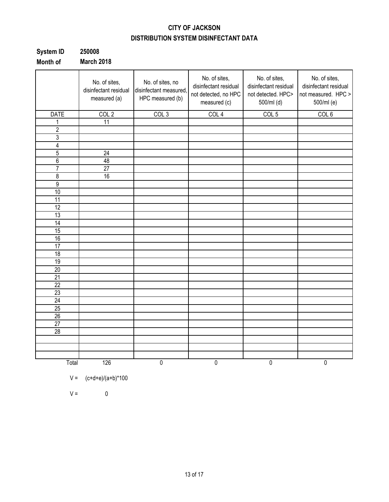### **CITY OF JACKSON DISTRIBUTION SYSTEM DISINFECTANT DATA**

| System ID | 250008            |
|-----------|-------------------|
| Month of  | <b>March 2018</b> |

|                 | No. of sites,<br>disinfectant residual<br>measured (a) | No. of sites, no<br>disinfectant measured,<br>HPC measured (b) | No. of sites,<br>disinfectant residual<br>not detected, no HPC<br>measured (c) | No. of sites,<br>disinfectant residual<br>not detected. HPC><br>500/ml (d) | No. of sites,<br>disinfectant residual<br>not measured. HPC ><br>500/ml (e) |
|-----------------|--------------------------------------------------------|----------------------------------------------------------------|--------------------------------------------------------------------------------|----------------------------------------------------------------------------|-----------------------------------------------------------------------------|
| <b>DATE</b>     | COL <sub>2</sub>                                       | COL <sub>3</sub>                                               | COL <sub>4</sub>                                                               | COL <sub>5</sub>                                                           | COL <sub>6</sub>                                                            |
| 1               | $\overline{11}$                                        |                                                                |                                                                                |                                                                            |                                                                             |
| $\overline{2}$  |                                                        |                                                                |                                                                                |                                                                            |                                                                             |
| 3               |                                                        |                                                                |                                                                                |                                                                            |                                                                             |
| 4               |                                                        |                                                                |                                                                                |                                                                            |                                                                             |
| $\overline{5}$  | $\overline{24}$                                        |                                                                |                                                                                |                                                                            |                                                                             |
| $\overline{6}$  | 48                                                     |                                                                |                                                                                |                                                                            |                                                                             |
| $\overline{7}$  | $\overline{27}$                                        |                                                                |                                                                                |                                                                            |                                                                             |
| 8               | 16                                                     |                                                                |                                                                                |                                                                            |                                                                             |
| $\overline{9}$  |                                                        |                                                                |                                                                                |                                                                            |                                                                             |
| 10              |                                                        |                                                                |                                                                                |                                                                            |                                                                             |
| 11              |                                                        |                                                                |                                                                                |                                                                            |                                                                             |
| 12              |                                                        |                                                                |                                                                                |                                                                            |                                                                             |
| 13              |                                                        |                                                                |                                                                                |                                                                            |                                                                             |
| $\overline{14}$ |                                                        |                                                                |                                                                                |                                                                            |                                                                             |
| 15              |                                                        |                                                                |                                                                                |                                                                            |                                                                             |
| 16              |                                                        |                                                                |                                                                                |                                                                            |                                                                             |
| $\overline{17}$ |                                                        |                                                                |                                                                                |                                                                            |                                                                             |
| 18              |                                                        |                                                                |                                                                                |                                                                            |                                                                             |
| 19              |                                                        |                                                                |                                                                                |                                                                            |                                                                             |
| $\overline{20}$ |                                                        |                                                                |                                                                                |                                                                            |                                                                             |
| $\overline{21}$ |                                                        |                                                                |                                                                                |                                                                            |                                                                             |
| $\overline{22}$ |                                                        |                                                                |                                                                                |                                                                            |                                                                             |
| 23              |                                                        |                                                                |                                                                                |                                                                            |                                                                             |
| $\overline{24}$ |                                                        |                                                                |                                                                                |                                                                            |                                                                             |
| 25              |                                                        |                                                                |                                                                                |                                                                            |                                                                             |
| 26              |                                                        |                                                                |                                                                                |                                                                            |                                                                             |
| 27              |                                                        |                                                                |                                                                                |                                                                            |                                                                             |
| 28              |                                                        |                                                                |                                                                                |                                                                            |                                                                             |
|                 |                                                        |                                                                |                                                                                |                                                                            |                                                                             |
|                 |                                                        |                                                                |                                                                                |                                                                            |                                                                             |
|                 |                                                        |                                                                |                                                                                |                                                                            |                                                                             |
| Total           | 126                                                    | $\overline{0}$                                                 | $\overline{0}$                                                                 | 0                                                                          | $\overline{0}$                                                              |

$$
V = (c+d+e)/(a+b)^*100
$$

 $V = 0$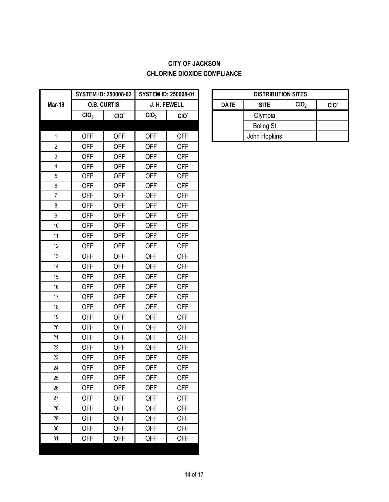### **CITY OF JACKSON CHLORINE DIOXIDE COMPLIANCE**

|                         |                  | <b>SYSTEM ID: 250008-02</b> |                  | <b>SYSTEM ID: 250008-01</b> |             | <b>DISTRIBUT</b> |
|-------------------------|------------------|-----------------------------|------------------|-----------------------------|-------------|------------------|
| <b>Mar-18</b>           |                  | <b>O.B. CURTIS</b>          |                  | J. H. FEWELL                | <b>DATE</b> | <b>SITE</b>      |
|                         | CIO <sub>2</sub> | CIO.                        | CIO <sub>2</sub> | CIO.                        |             | Olympia          |
|                         |                  |                             |                  |                             |             | <b>Boling St</b> |
| $\mathbf{1}$            | <b>OFF</b>       | <b>OFF</b>                  | <b>OFF</b>       | <b>OFF</b>                  |             | John Hopkins     |
| $\overline{2}$          | <b>OFF</b>       | <b>OFF</b>                  | <b>OFF</b>       | <b>OFF</b>                  |             |                  |
| 3                       | <b>OFF</b>       | <b>OFF</b>                  | <b>OFF</b>       | <b>OFF</b>                  |             |                  |
| $\overline{\mathbf{4}}$ | <b>OFF</b>       | <b>OFF</b>                  | <b>OFF</b>       | <b>OFF</b>                  |             |                  |
| 5                       | <b>OFF</b>       | <b>OFF</b>                  | <b>OFF</b>       | <b>OFF</b>                  |             |                  |
| $\boldsymbol{6}$        | <b>OFF</b>       | <b>OFF</b>                  | <b>OFF</b>       | <b>OFF</b>                  |             |                  |
| $\overline{7}$          | <b>OFF</b>       | <b>OFF</b>                  | <b>OFF</b>       | <b>OFF</b>                  |             |                  |
| $\,8\,$                 | <b>OFF</b>       | <b>OFF</b>                  | <b>OFF</b>       | <b>OFF</b>                  |             |                  |
| $\boldsymbol{9}$        | <b>OFF</b>       | <b>OFF</b>                  | <b>OFF</b>       | <b>OFF</b>                  |             |                  |
| 10                      | <b>OFF</b>       | <b>OFF</b>                  | <b>OFF</b>       | <b>OFF</b>                  |             |                  |
| 11                      | <b>OFF</b>       | <b>OFF</b>                  | <b>OFF</b>       | <b>OFF</b>                  |             |                  |
| 12                      | <b>OFF</b>       | <b>OFF</b>                  | <b>OFF</b>       | <b>OFF</b>                  |             |                  |
| 13                      | <b>OFF</b>       | <b>OFF</b>                  | <b>OFF</b>       | <b>OFF</b>                  |             |                  |
| 14                      | <b>OFF</b>       | <b>OFF</b>                  | <b>OFF</b>       | <b>OFF</b>                  |             |                  |
| 15                      | <b>OFF</b>       | <b>OFF</b>                  | <b>OFF</b>       | <b>OFF</b>                  |             |                  |
| 16                      | <b>OFF</b>       | <b>OFF</b>                  | <b>OFF</b>       | <b>OFF</b>                  |             |                  |
| 17                      | <b>OFF</b>       | <b>OFF</b>                  | <b>OFF</b>       | <b>OFF</b>                  |             |                  |
| 18                      | <b>OFF</b>       | <b>OFF</b>                  | <b>OFF</b>       | <b>OFF</b>                  |             |                  |
| 19                      | <b>OFF</b>       | <b>OFF</b>                  | <b>OFF</b>       | <b>OFF</b>                  |             |                  |
| 20                      | <b>OFF</b>       | <b>OFF</b>                  | <b>OFF</b>       | <b>OFF</b>                  |             |                  |
| 21                      | <b>OFF</b>       | <b>OFF</b>                  | <b>OFF</b>       | <b>OFF</b>                  |             |                  |
| 22                      | <b>OFF</b>       | <b>OFF</b>                  | <b>OFF</b>       | <b>OFF</b>                  |             |                  |
| 23                      | <b>OFF</b>       | <b>OFF</b>                  | <b>OFF</b>       | <b>OFF</b>                  |             |                  |
| 24                      | <b>OFF</b>       | <b>OFF</b>                  | <b>OFF</b>       | <b>OFF</b>                  |             |                  |
| 25                      | <b>OFF</b>       | <b>OFF</b>                  | <b>OFF</b>       | <b>OFF</b>                  |             |                  |
| 26                      | <b>OFF</b>       | <b>OFF</b>                  | <b>OFF</b>       | <b>OFF</b>                  |             |                  |
| 27                      | <b>OFF</b>       | <b>OFF</b>                  | <b>OFF</b>       | <b>OFF</b>                  |             |                  |
| 28                      | <b>OFF</b>       | <b>OFF</b>                  | <b>OFF</b>       | <b>OFF</b>                  |             |                  |
| 29                      | <b>OFF</b>       | <b>OFF</b>                  | <b>OFF</b>       | <b>OFF</b>                  |             |                  |
| 30                      | <b>OFF</b>       | <b>OFF</b>                  | <b>OFF</b>       | <b>OFF</b>                  |             |                  |
| 31                      | <b>OFF</b>       | <b>OFF</b>                  | <b>OFF</b>       | <b>OFF</b>                  |             |                  |
|                         |                  |                             |                  |                             |             |                  |

| <b>DISTRIBUTION SITES</b>                                          |                  |  |  |  |  |  |  |
|--------------------------------------------------------------------|------------------|--|--|--|--|--|--|
| CIO <sub>2</sub><br><b>SITE</b><br><b>DATE</b><br>CIO <sup>.</sup> |                  |  |  |  |  |  |  |
|                                                                    | Olympia          |  |  |  |  |  |  |
|                                                                    | <b>Boling St</b> |  |  |  |  |  |  |
|                                                                    | John Hopkins     |  |  |  |  |  |  |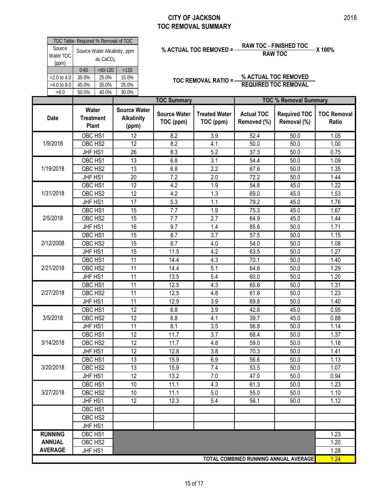### **CITY OF JACKSON TOC REMOVAL SUMMARY**

| 50.0%                                          | 40.0%     | 30.0% |  |  |  |  |  |
|------------------------------------------------|-----------|-------|--|--|--|--|--|
| 45.0%                                          | 35.0%     | 25.0% |  |  |  |  |  |
| 35.0%                                          | 25.0%     | 15.0% |  |  |  |  |  |
| $0 - 60$                                       | $>60-120$ | >120  |  |  |  |  |  |
| Source Water Alkalinity, ppm<br>as $CaCO3$     |           |       |  |  |  |  |  |
| TOC Table- Required % Removal of TOC<br>Source |           |       |  |  |  |  |  |
| $>2.0$ to 4.0<br>$>4.0$ to 8.0                 | Water TOC |       |  |  |  |  |  |

# **% ACTUAL TOC REMOVED = RAW TOC - FINISHED TOC X 100% RAW TOC**

|                    | TOC Table- Required % Removal of TOC<br>Source<br>Source Water Alkalinity, ppm |                                  |            |                            |                                       | % ACTUAL TOC REMOVED = -          | <b>RAW TOC - FINISHED TOC</b>    | -X 100%                            |                             |  |  |
|--------------------|--------------------------------------------------------------------------------|----------------------------------|------------|----------------------------|---------------------------------------|-----------------------------------|----------------------------------|------------------------------------|-----------------------------|--|--|
| Water TOC<br>(ppm) |                                                                                |                                  | as $CaCO3$ |                            | <b>RAW TOC</b>                        |                                   |                                  |                                    |                             |  |  |
|                    |                                                                                | $0 - 60$                         | $>60-120$  | $>120$                     |                                       |                                   |                                  |                                    |                             |  |  |
| >2.0 to 4.0        |                                                                                | 35.0%                            | 25.0%      | 15.0%                      |                                       | <b>TOC REMOVAL RATIO =-</b>       |                                  | % ACTUAL TOC REMOVED               |                             |  |  |
| >4.0 to 8.0        |                                                                                | 45.0%                            | 35.0%      | 25.0%                      |                                       |                                   |                                  | <b>REQUIRED TOC REMOVAL</b>        |                             |  |  |
| >8.0               |                                                                                | 50.0%                            | 40.0%      | 30.0%                      | <b>TOC Summary</b>                    |                                   |                                  | <b>TOC % Removal Summary</b>       |                             |  |  |
|                    |                                                                                | Water                            |            | <b>Source Water</b>        |                                       |                                   |                                  |                                    |                             |  |  |
| <b>Date</b>        |                                                                                | <b>Treatment</b><br><b>Plant</b> |            | <b>Alkalinity</b><br>(ppm) | <b>Source Water</b><br>TOC (ppm)      | <b>Treated Water</b><br>TOC (ppm) | <b>Actual TOC</b><br>Removed (%) | <b>Required TOC</b><br>Removal (%) | <b>TOC Removal</b><br>Ratio |  |  |
|                    |                                                                                | OBC HS1                          |            | 12                         | 8.2                                   | 3.9                               | 52.4                             | 50.0                               | 1.05                        |  |  |
| 1/9/2018           |                                                                                | OBC HS2                          |            | 12                         | 8.2                                   | 4.1                               | 50.0                             | 50.0                               | 1.00                        |  |  |
|                    |                                                                                | JHF HS1                          |            | 26                         | 8.3                                   | 5.2                               | 37.3                             | 50.0                               | 0.75                        |  |  |
|                    |                                                                                | OBC HS1                          |            | 13                         | 6.8                                   | 3.1                               | 54.4                             | 50.0                               | 1.09                        |  |  |
| 1/19/2018          |                                                                                | OBC HS2                          |            | 13                         | 6.8                                   | 2.2                               | 67.6                             | 50.0                               | 1.35                        |  |  |
|                    |                                                                                | JHF HS1                          |            | 20                         | 7.2                                   | 2.0                               | 72.2                             | 50.0                               | 1.44                        |  |  |
|                    |                                                                                | OBC HS1                          |            | 12                         | 4.2                                   | 1.9                               | 54.8                             | 45.0                               | 1.22                        |  |  |
| 1/31/2018          |                                                                                | OBC HS2                          |            | 12                         | 4.2                                   | 1.3                               | 69.0                             | 45.0                               | 1.53                        |  |  |
|                    |                                                                                | JHF HS1                          |            | 17                         | 5.3                                   | 1.1                               | 79.2                             | 45.0                               | 1.76                        |  |  |
|                    |                                                                                | OBC HS1                          |            | $\overline{15}$            | $\overline{7.7}$                      | 1.9                               | 75.3                             | 45.0                               | 1.67                        |  |  |
| 2/5/2018           |                                                                                | OBC HS2                          |            | 15                         | 7.7                                   | 2.7                               | 64.9                             | 45.0                               | 1.44                        |  |  |
|                    |                                                                                | JHF HS1                          |            | 16                         | 9.7                                   | 1.4                               | 85.6                             | 50.0                               | 1.71                        |  |  |
|                    |                                                                                | OBC HS1                          |            | 15                         | 8.7                                   | 3.7                               | 57.5                             | 50.0                               | 1.15                        |  |  |
| 2/12/2008          |                                                                                | OBC HS2                          |            | 15                         | 8.7                                   | 4.0                               | 54.0                             | 50.0                               | 1.08                        |  |  |
|                    |                                                                                | JHF HS1                          |            | 15                         | 11.5                                  | 4.2                               | 63.5                             | 50.0                               | 1.27                        |  |  |
|                    |                                                                                | OBC HS1                          |            | $\overline{11}$            | 14.4                                  | 4.3                               | 70.1                             | 50.0                               | 1.40                        |  |  |
| 2/21/2018          |                                                                                | OBC HS2                          |            | 11                         | 14.4                                  | 5.1                               | 64.6                             | 50.0                               | 1.29                        |  |  |
|                    |                                                                                | JHF HS1                          |            | 11                         | 13.5                                  | 5.4                               | 60.0                             | 50.0                               | 1.20                        |  |  |
|                    |                                                                                | OBC HS1                          |            | 11                         | 12.5                                  | 4.3                               | 65.6                             | 50.0                               | 1.31                        |  |  |
| 2/27/2018          |                                                                                | OBC HS2                          |            | 11                         | 12.5                                  | 4.8                               | 61.6                             | 50.0                               | 1.23                        |  |  |
|                    |                                                                                | JHF HS1                          |            | 11                         | 12.9                                  | 3.9                               | 69.8                             | 50.0                               | 1.40                        |  |  |
|                    |                                                                                | OBC HS1                          |            | $\overline{12}$            | 6.8                                   | 3.9                               | 42.6                             | 45.0                               | 0.95                        |  |  |
| 3/5/2018           |                                                                                | OBC HS2                          |            | 12                         | 6.8                                   | 4.1                               | 39.7                             | 45.0                               | 0.88                        |  |  |
|                    |                                                                                | JHF HS1                          |            | 11                         | 8.1                                   | 3.5                               | 56.8                             | 50.0                               | 1.14                        |  |  |
|                    |                                                                                | OBC HS1                          |            | $\overline{12}$            | 11.7                                  | $\overline{3.7}$                  | 68.4                             | 50.0                               | 1.37                        |  |  |
| 3/14/2018          |                                                                                | OBC HS2                          |            | 12                         | 11.7                                  | 4.8                               | 59.0                             | 50.0                               | 1.18                        |  |  |
|                    |                                                                                | JHF HS1                          |            | 12                         | 12.8                                  | 3.8                               | 70.3                             | 50.0                               | 1.41                        |  |  |
|                    |                                                                                | OBC HS1                          |            | $\overline{13}$            | 15.9                                  | 6.9                               | 56.6                             | 50.0                               | 1.13                        |  |  |
| 3/20/2018          |                                                                                | OBC HS2                          |            | 13                         | 15.9                                  | 7.4                               | 53.5                             | 50.0                               | 1.07                        |  |  |
|                    |                                                                                | JHF HS1                          |            | 12                         | 13.2                                  | 7.0                               | 47.0                             | 50.0                               | 0.94                        |  |  |
|                    |                                                                                | OBC HS1                          |            | 10                         | 11.1                                  | 4.3                               | 61.3                             | 50.0                               | 1.23                        |  |  |
| 3/27/2018          |                                                                                | OBC HS2                          |            | 10                         | 11.1                                  | 5.0                               | 55.0                             | 50.0                               | 1.10                        |  |  |
|                    |                                                                                | JHF HS1                          |            | 12                         | 12.3                                  | 5.4                               | 56.1                             | 50.0                               | 1.12                        |  |  |
|                    |                                                                                | OBC HS1                          |            |                            |                                       |                                   |                                  |                                    |                             |  |  |
|                    |                                                                                | OBC HS2                          |            |                            |                                       |                                   |                                  |                                    |                             |  |  |
|                    |                                                                                | JHF HS1                          |            |                            |                                       |                                   |                                  |                                    |                             |  |  |
| <b>RUNNING</b>     |                                                                                | OBC HS1                          |            |                            |                                       |                                   |                                  |                                    | 1.23                        |  |  |
| <b>ANNUAL</b>      |                                                                                | OBC HS2                          |            |                            |                                       |                                   |                                  |                                    | 1.20                        |  |  |
| <b>AVERAGE</b>     |                                                                                | JHF HS1                          |            |                            |                                       |                                   |                                  |                                    | 1.28                        |  |  |
|                    |                                                                                |                                  |            |                            | TOTAL COMBINED RUNNING ANNUAL AVERAGE |                                   |                                  |                                    |                             |  |  |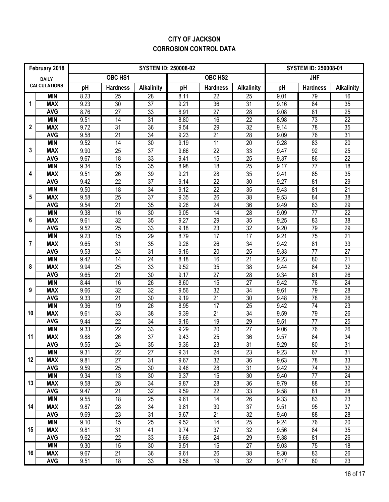### **CITY OF JACKSON CORROSION CONTROL DATA**

| February 2018 |                          | <b>SYSTEM ID: 250008-02</b> |                 |                   |              |                       |                   |              | <b>SYSTEM ID: 250008-01</b> |                       |  |
|---------------|--------------------------|-----------------------------|-----------------|-------------------|--------------|-----------------------|-------------------|--------------|-----------------------------|-----------------------|--|
| <b>DAILY</b>  |                          | OBC HS1<br>OBC HS2          |                 |                   |              |                       |                   | <b>JHF</b>   |                             |                       |  |
|               | <b>CALCULATIONS</b>      | pH                          | <b>Hardness</b> | <b>Alkalinity</b> | pH           | <b>Hardness</b>       | <b>Alkalinity</b> | pH           | <b>Hardness</b>             | <b>Alkalinity</b>     |  |
|               | <b>MIN</b>               | 8.23                        | $\overline{25}$ | 28                | 8.11         | $\overline{22}$       | $\overline{25}$   | 9.01         | 79                          | 16                    |  |
| 1             | <b>MAX</b>               | 9.23                        | 30              | $\overline{37}$   | 9.21         | 36                    | $\overline{31}$   | 9.16         | 84                          | $\overline{35}$       |  |
|               | <b>AVG</b>               | 8.76                        | $\overline{27}$ | $\overline{33}$   | 8.91         | $\overline{27}$       | $\overline{28}$   | 9.08         | 81                          | $\overline{25}$       |  |
|               | <b>MIN</b>               | 9.51                        | 14              | 31                | 8.80         | 16                    | $\overline{22}$   | 8.98         | 73                          | $\overline{22}$       |  |
| $\mathbf{2}$  | <b>MAX</b>               | 9.72                        | $\overline{31}$ | $\overline{36}$   | 9.54         | 29                    | 32                | 9.14         | 78                          | 35                    |  |
|               | <b>AVG</b>               | 9.58                        | $\overline{21}$ | $\overline{34}$   | 9.23         | 21                    | $\overline{28}$   | 9.09         | 76                          | $\overline{31}$       |  |
|               | <b>MIN</b>               | 9.52                        | $\overline{14}$ | 30                | 9.19         | $\overline{11}$       | $\overline{20}$   | 9.28         | 83                          | $\overline{20}$       |  |
| 3             | <b>MAX</b>               | 9.90                        | 25              | 37                | 9.66         | 22                    | 33                | 9.47         | 92                          | 25                    |  |
|               | <b>AVG</b>               | 9.67                        | 18              | 33                | 9.41         | 15                    | 25                | 9.37         | 86                          | 22                    |  |
|               | <b>MIN</b>               | 9.34                        | 15              | 35                | 8.98         | $\overline{18}$       | $\overline{25}$   | 9.17         | $\overline{77}$             | $\overline{18}$       |  |
| 4             | <b>MAX</b>               | 9.51                        | 26              | 39                | 9.21         | 28                    | 35                | 9.41         | 85                          | 35                    |  |
|               | <b>AVG</b>               | 9.42                        | 22              | 37                | 9.14         | 22                    | 30                | 9.27         | 81                          | 29                    |  |
| 5             | <b>MIN</b><br><b>MAX</b> | 9.50                        | 18              | 34<br>37          | 9.12         | $\overline{22}$<br>26 | 35<br>38          | 9.43         | 81<br>84                    | $\overline{21}$<br>38 |  |
|               | <b>AVG</b>               | 9.58<br>9.54                | 25<br>21        | 35                | 9.35<br>9.26 | 24                    | 36                | 9.53<br>9.49 | 83                          | 29                    |  |
|               | <b>MIN</b>               | 9.38                        | 16              | 30                | 9.05         | $\overline{14}$       | $\overline{28}$   | 9.09         | 77                          | $\overline{22}$       |  |
| 6             | <b>MAX</b>               | 9.61                        | 32              | 35                | 9.27         | 29                    | 35                | 9.25         | 83                          | 38                    |  |
|               | <b>AVG</b>               | 9.52                        | 25              | 33                | 9.18         | 23                    | 32                | 9.20         | 79                          | 29                    |  |
|               | <b>MIN</b>               | 9.23                        | 15              | 29                | 8.79         | $\overline{17}$       | 17                | 9.21         | 75                          | 21                    |  |
| 7             | <b>MAX</b>               | 9.65                        | 31              | 35                | 9.28         | 26                    | 34                | 9.42         | 81                          | 33                    |  |
|               | <b>AVG</b>               | 9.53                        | 24              | 31                | 9.16         | 20                    | 25                | 9.33         | 77                          | $\overline{27}$       |  |
|               | <b>MIN</b>               | 9.42                        | $\overline{14}$ | $\overline{24}$   | 8.18         | 16                    | 21                | 9.23         | $\overline{80}$             | 21                    |  |
| 8             | <b>MAX</b>               | 9.94                        | 25              | 33                | 9.52         | 35                    | 38                | 9.44         | 84                          | $\overline{32}$       |  |
|               | <b>AVG</b>               | 9.65                        | 21              | 30                | 9.17         | 27                    | 28                | 9.34         | 81                          | $\overline{26}$       |  |
|               | <b>MIN</b>               | 8.44                        | 16              | 26                | 8.60         | 15                    | $\overline{27}$   | 9.42         | 76                          | 24                    |  |
| 9             | <b>MAX</b>               | 9.66                        | $\overline{32}$ | $\overline{32}$   | 9.56         | 32                    | 34                | 9.61         | 79                          | $\overline{28}$       |  |
|               | <b>AVG</b>               | 9.33                        | 21              | $\overline{30}$   | 9.19         | $\overline{21}$       | $\overline{30}$   | 9.48         | 78                          | $\overline{26}$       |  |
|               | <b>MIN</b>               | 9.36                        | 19              | 26                | 8.95         | $\overline{17}$       | $\overline{25}$   | 9.42         | 74                          | $\overline{23}$       |  |
| 10            | <b>MAX</b>               | 9.61                        | 33              | $\overline{38}$   | 9.39         | $\overline{21}$       | $\overline{34}$   | 9.59         | 79                          | $\overline{26}$       |  |
|               | <b>AVG</b>               | 9.44                        | $\overline{22}$ | $\overline{34}$   | 9.16         | 19                    | 29                | 9.51         | $\overline{77}$             | 25                    |  |
|               | <b>MIN</b>               | 9.33                        | $\overline{22}$ | 33                | 9.29         | 20                    | $\overline{27}$   | 9.06         | 76                          | 26                    |  |
| 11            | <b>MAX</b>               | 9.88                        | $\overline{26}$ | $\overline{37}$   | 9.43         | 25                    | $\overline{36}$   | 9.57         | $\overline{84}$             | $\overline{34}$       |  |
|               | <b>AVG</b>               | 9.55                        | $\overline{24}$ | $\overline{35}$   | 9.36         | $\overline{23}$       | $\overline{31}$   | 9.29         | $\overline{80}$             | $\overline{31}$       |  |
|               | <b>MIN</b>               | 9.31                        | 22              | $\overline{27}$   | 9.31         | 24                    | 23                | 9.23         | 67                          | $\overline{31}$       |  |
| 12            | <b>MAX</b>               | 9.81                        | 27              | 31                | 9.67         | 32                    | 36                | 9.63         | 78                          | 33                    |  |
|               | <b>AVG</b><br><b>MIN</b> | 9.59<br>9.34                | 25<br>13        | 30<br>30          | 9.46<br>9.37 | 28<br>15              | 31<br>30          | 9.42<br>9.40 | 74<br>$\overline{77}$       | 32<br>24              |  |
| 13            | <b>MAX</b>               | 9.58                        | 28              | 34                | 9.87         | 28                    | 36                | 9.79         | 88                          | 30                    |  |
|               | <b>AVG</b>               | 9.47                        | 21              | 32                | 9.59         | 22                    | 33                | 9.58         | 81                          | 28                    |  |
|               | <b>MIN</b>               | 9.55                        | 18              | $\overline{25}$   | 9.61         | 14                    | 26                | 9.33         | 83                          | 23                    |  |
| 14            | <b>MAX</b>               | 9.87                        | 28              | 34                | 9.81         | 30                    | 37                | 9.51         | 95                          | 37                    |  |
|               | <b>AVG</b>               | 9.69                        | 23              | 31                | 9.67         | 21                    | 32                | 9.40         | 88                          | 28                    |  |
|               | <b>MIN</b>               | 9.10                        | 15              | $\overline{25}$   | 9.52         | $\overline{14}$       | $\overline{25}$   | 9.24         | 76                          | $\overline{20}$       |  |
| 15            | <b>MAX</b>               | 9.81                        | 31              | 41                | 9.74         | 37                    | 32                | 9.56         | 84                          | 35                    |  |
|               | <b>AVG</b>               | 9.62                        | 22              | 33                | 9.66         | 24                    | 29                | 9.38         | 81                          | 26                    |  |
|               | <b>MIN</b>               | 9.30                        | 15              | 30                | 9.51         | 15                    | $\overline{27}$   | 9.03         | $\overline{75}$             | $\overline{18}$       |  |
| 16            | <b>MAX</b>               | 9.67                        | 21              | 36                | 9.61         | 26                    | 38                | 9.30         | 83                          | 26                    |  |
|               | <b>AVG</b>               | 9.51                        | 18              | 33                | 9.56         | 19                    | 32                | 9.17         | 80                          | 23                    |  |